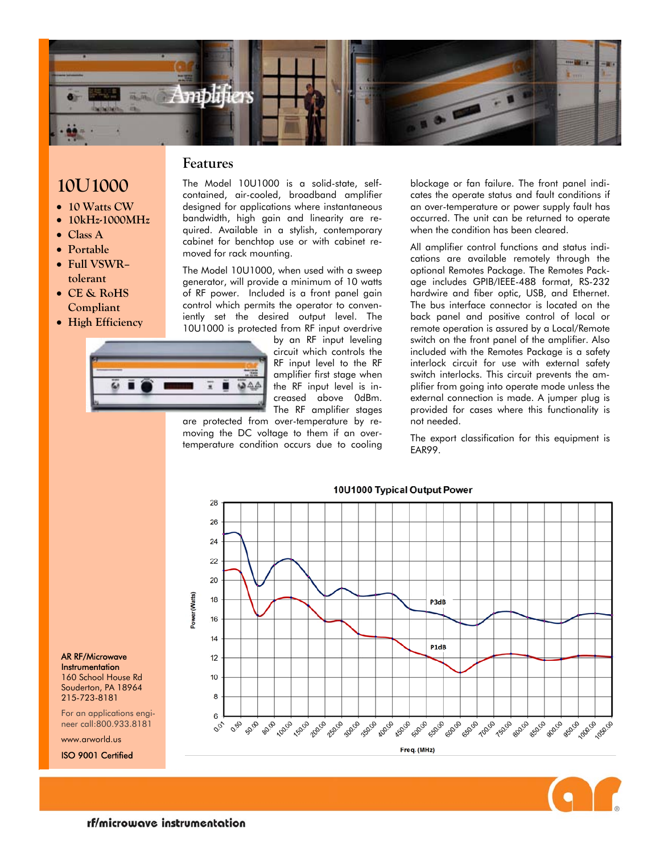

**Features** 

- **10U1000**
- **10 Watts CW**
- **10kHz-1000MHz**
- **Class A**
- **Portable**
- **Full VSWR– tolerant**
- **CE & RoHS Compliant**
- **High Efficiency**

The Model 10U1000 is a solid-state, selfcontained, air-cooled, broadband amplifier designed for applications where instantaneous bandwidth, high gain and linearity are required. Available in a stylish, contemporary cabinet for benchtop use or with cabinet removed for rack mounting.

The Model 10U1000, when used with a sweep generator, will provide a minimum of 10 watts of RF power. Included is a front panel gain control which permits the operator to conveniently set the desired output level. The 10U1000 is protected from RF input overdrive

> by an RF input leveling circuit which controls the RF input level to the RF amplifier first stage when the RF input level is increased above 0dBm. The RF amplifier stages

are protected from over-temperature by removing the DC voltage to them if an overtemperature condition occurs due to cooling

blockage or fan failure. The front panel indicates the operate status and fault conditions if an over-temperature or power supply fault has occurred. The unit can be returned to operate when the condition has been cleared.

All amplifier control functions and status indications are available remotely through the optional Remotes Package. The Remotes Package includes GPIB/IEEE-488 format, RS-232 hardwire and fiber optic, USB, and Ethernet. The bus interface connector is located on the back panel and positive control of local or remote operation is assured by a Local/Remote switch on the front panel of the amplifier. Also included with the Remotes Package is a safety interlock circuit for use with external safety switch interlocks. This circuit prevents the amplifier from going into operate mode unless the external connection is made. A jumper plug is provided for cases where this functionality is not needed.

The export classification for this equipment is EAR99.





AR RF/Microwave **Instrumentation** 160 School House Rd

Souderton, PA 18964 215-723-8181

For an applications engineer call:800.933.8181

www.arworld.us

ISO 9001 Certified



#### 10U1000 Typical Output Power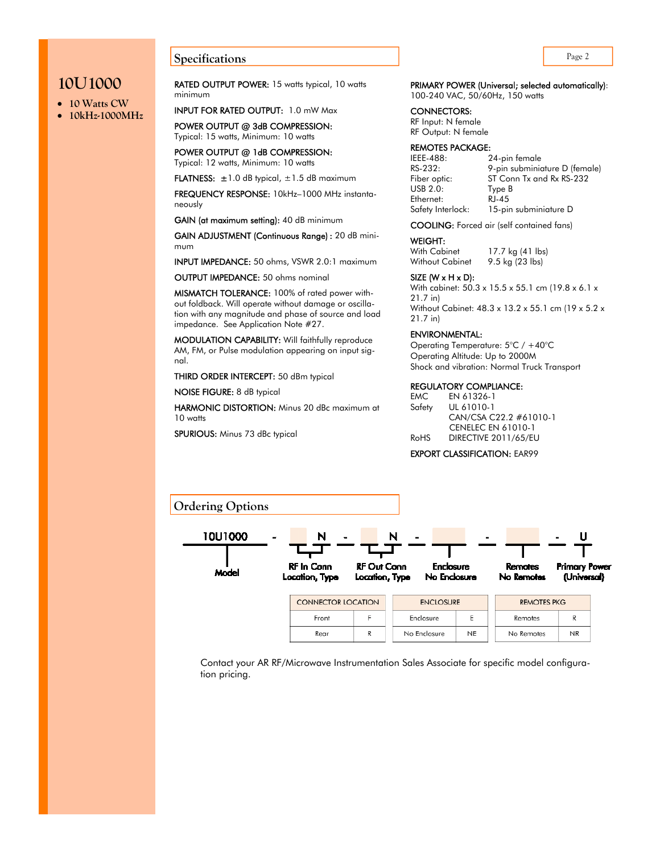### **Page 2 Page 2**

## **10U1000**

- **10 Watts CW**
- **10kHz-1000MHz**

RATED OUTPUT POWER: 15 watts typical, 10 watts minimum

INPUT FOR RATED OUTPUT: 1.0 mW Max

POWER OUTPUT @ 3dB COMPRESSION: Typical: 15 watts, Minimum: 10 watts

POWER OUTPUT @ 1dB COMPRESSION: Typical: 12 watts, Minimum: 10 watts

**FLATNESS:**  $\pm 1.0$  dB typical,  $\pm 1.5$  dB maximum

FREQUENCY RESPONSE: 10kHz–1000 MHz instantaneously

GAIN (at maximum setting): 40 dB minimum

GAIN ADJUSTMENT (Continuous Range) : 20 dB minimum

INPUT IMPEDANCE: 50 ohms, VSWR 2.0:1 maximum

OUTPUT IMPEDANCE: 50 ohms nominal

MISMATCH TOLERANCE: 100% of rated power without foldback. Will operate without damage or oscillation with any magnitude and phase of source and load impedance. See Application Note #27.

MODULATION CAPABILITY: Will faithfully reproduce AM, FM, or Pulse modulation appearing on input signal.

THIRD ORDER INTERCEPT: 50 dBm typical

NOISE FIGURE: 8 dB typical

HARMONIC DISTORTION: Minus 20 dBc maximum at 10 watts

SPURIOUS: Minus 73 dBc typical

### PRIMARY POWER (Universal; selected automatically):

100-240 VAC, 50/60Hz, 150 watts

CONNECTORS:

RF Input: N female RF Output: N female

#### REMOTES PACKAGE:

IEEE-488: 24-pin female<br>RS-232: 9-pin subminic USB 2.0: Type B Ethernet: RJ-45

9-pin subminiature D (female) Fiber optic: ST Conn Tx and Rx RS-232 Safety Interlock: 15-pin subminiature D

COOLING: Forced air (self contained fans)

#### WEIGHT:

With Cabinet 17.7 kg (41 lbs) Without Cabinet 9.5 kg (23 lbs)

SIZE (W  $\times$  H  $\times$  D):

With cabinet: 50.3 x 15.5 x 55.1 cm (19.8 x 6.1 x 21.7 in) Without Cabinet: 48.3 x 13.2 x 55.1 cm (19 x 5.2 x

21.7 in)

#### ENVIRONMENTAL:

Operating Temperature: 5°C / +40°C Operating Altitude: Up to 2000M Shock and vibration: Normal Truck Transport

#### REGULATORY COMPLIANCE:

EMC EN 61326-1 Safety UL 61010-1 CAN/CSA C22.2 #61010-1 CENELEC EN 61010-1 RoHS DIRECTIVE 2011/65/EU

#### EXPORT CLASSIFICATION: EAR99



Contact your AR RF/Microwave Instrumentation Sales Associate for specific model configuration pricing.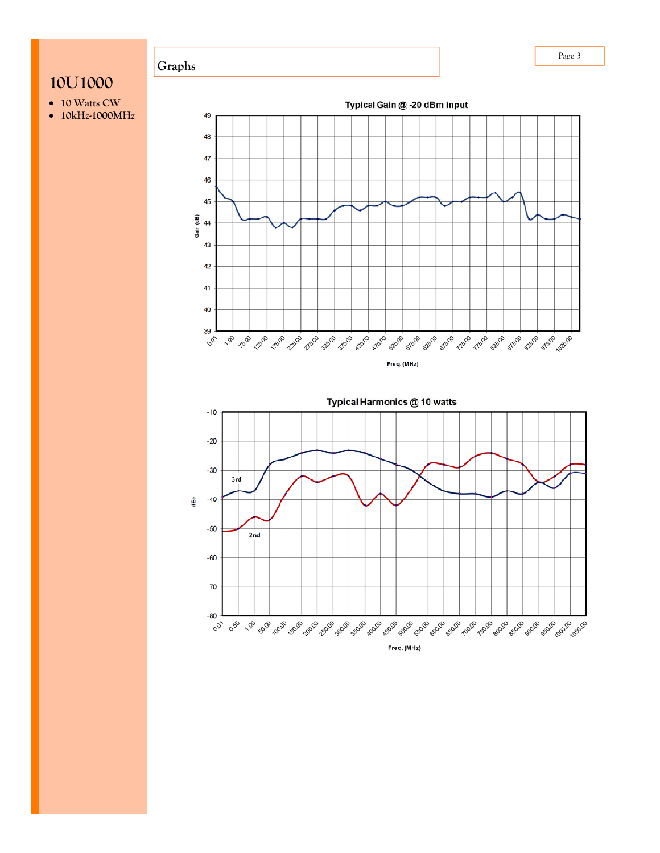# **10U1000**

- **10 Watts CW**
- **10kHz-1000MHz**

**Graphs** 



Typical Harmonics @ 10 watts  $-10$  $-20$  $-30$ 3rd ęс  $-40$  $-50$ 2nd  $-60$  $-70$  $-80^{-1}$ **00 - 00 - 00 - 100 - 100 - 100 - 100 - 100 - 100 - 100 - 100 - 100 - 100 - 100 - 100 - 100 - 100 - 100 - 100 -**Freq. (MHz)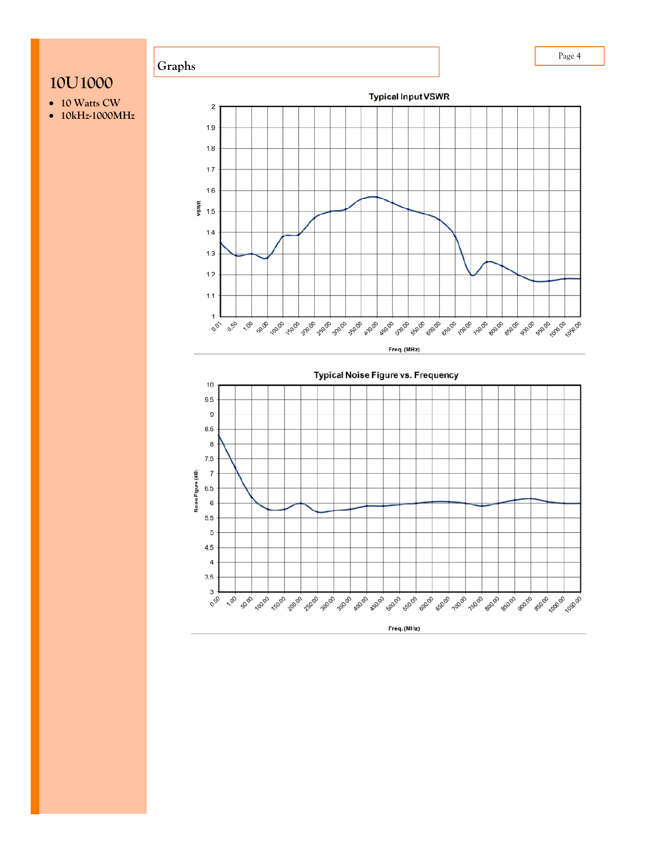

- 
- **10 Watts CW 10kHz-1000MHz**





Page 4